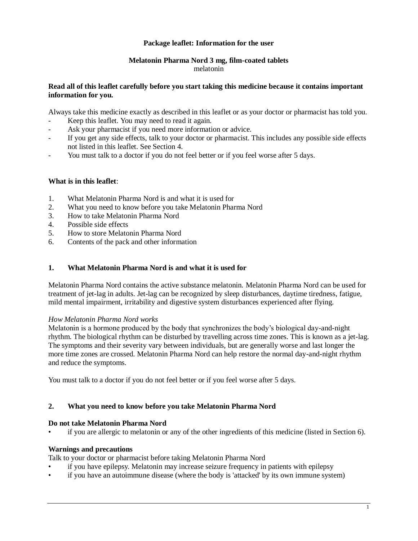### **Package leaflet: Information for the user**

#### **Melatonin Pharma Nord 3 mg, film-coated tablets** melatonin

#### **Read all of this leaflet carefully before you start taking this medicine because it contains important information for you.**

Always take this medicine exactly as described in this leaflet or as your doctor or pharmacist has told you.

- Keep this leaflet. You may need to read it again.
- Ask your pharmacist if you need more information or advice.
- If you get any side effects, talk to your doctor or pharmacist. This includes any possible side effects not listed in this leaflet. See Section 4.
- You must talk to a doctor if you do not feel better or if you feel worse after 5 days.

### **What is in this leaflet**:

- 1. What Melatonin Pharma Nord is and what it is used for
- 2. What you need to know before you take Melatonin Pharma Nord
- 3. How to take Melatonin Pharma Nord
- 4. Possible side effects
- 5. How to store Melatonin Pharma Nord
- 6. Contents of the pack and other information

# **1. What Melatonin Pharma Nord is and what it is used for**

Melatonin Pharma Nord contains the active substance melatonin. Melatonin Pharma Nord can be used for treatment of jet-lag in adults. Jet-lag can be recognized by sleep disturbances, daytime tiredness, fatigue, mild mental impairment, irritability and digestive system disturbances experienced after flying.

#### *How Melatonin Pharma Nord works*

Melatonin is a hormone produced by the body that synchronizes the body's biological day-and-night rhythm. The biological rhythm can be disturbed by travelling across time zones. This is known as a jet-lag. The symptoms and their severity vary between individuals, but are generally worse and last longer the more time zones are crossed. Melatonin Pharma Nord can help restore the normal day-and-night rhythm and reduce the symptoms.

You must talk to a doctor if you do not feel better or if you feel worse after 5 days.

#### **2. What you need to know before you take Melatonin Pharma Nord**

#### **Do not take Melatonin Pharma Nord**

if you are allergic to melatonin or any of the other ingredients of this medicine (listed in Section 6).

#### **Warnings and precautions**

Talk to your doctor or pharmacist before taking Melatonin Pharma Nord

- if you have epilepsy. Melatonin may increase seizure frequency in patients with epilepsy
- if you have an autoimmune disease (where the body is 'attacked' by its own immune system)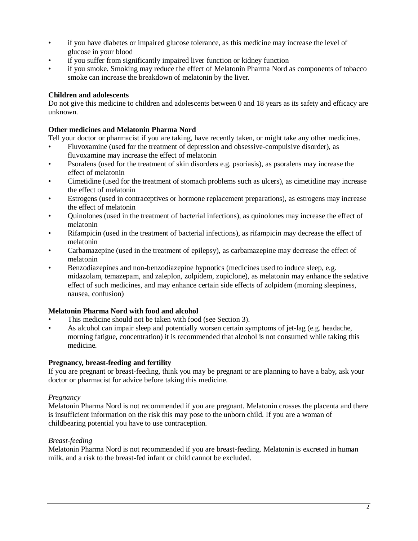- if you have diabetes or impaired glucose tolerance, as this medicine may increase the level of glucose in your blood
- if you suffer from significantly impaired liver function or kidney function
- if you smoke. Smoking may reduce the effect of Melatonin Pharma Nord as components of tobacco smoke can increase the breakdown of melatonin by the liver.

# **Children and adolescents**

Do not give this medicine to children and adolescents between 0 and 18 years as its safety and efficacy are unknown.

# **Other medicines and Melatonin Pharma Nord**

Tell your doctor or pharmacist if you are taking, have recently taken, or might take any other medicines.

- Fluvoxamine (used for the treatment of depression and obsessive-compulsive disorder), as fluvoxamine may increase the effect of melatonin
- Psoralens (used for the treatment of skin disorders e.g. psoriasis), as psoralens may increase the effect of melatonin
- Cimetidine (used for the treatment of stomach problems such as ulcers), as cimetidine may increase the effect of melatonin
- Estrogens (used in contraceptives or hormone replacement preparations), as estrogens may increase the effect of melatonin
- Quinolones (used in the treatment of bacterial infections), as quinolones may increase the effect of melatonin
- Rifampicin (used in the treatment of bacterial infections), as rifampicin may decrease the effect of melatonin
- Carbamazepine (used in the treatment of epilepsy), as carbamazepine may decrease the effect of melatonin
- Benzodiazepines and non-benzodiazepine hypnotics (medicines used to induce sleep, e.g. midazolam, temazepam, and zaleplon, zolpidem, zopiclone), as melatonin may enhance the sedative effect of such medicines, and may enhance certain side effects of zolpidem (morning sleepiness, nausea, confusion)

# **Melatonin Pharma Nord with food and alcohol**

- This medicine should not be taken with food (see Section 3).
- As alcohol can impair sleep and potentially worsen certain symptoms of jet-lag (e.g. headache, morning fatigue, concentration) it is recommended that alcohol is not consumed while taking this medicine.

# **Pregnancy, breast-feeding and fertility**

If you are pregnant or breast-feeding, think you may be pregnant or are planning to have a baby, ask your doctor or pharmacist for advice before taking this medicine.

# *Pregnancy*

Melatonin Pharma Nord is not recommended if you are pregnant. Melatonin crosses the placenta and there is insufficient information on the risk this may pose to the unborn child. If you are a woman of childbearing potential you have to use contraception.

# *Breast-feeding*

Melatonin Pharma Nord is not recommended if you are breast-feeding. Melatonin is excreted in human milk, and a risk to the breast-fed infant or child cannot be excluded.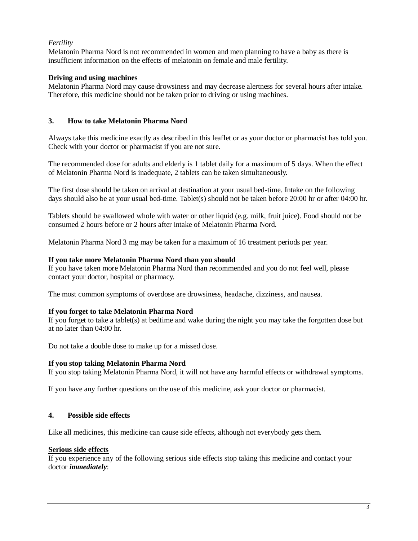# *Fertility*

Melatonin Pharma Nord is not recommended in women and men planning to have a baby as there is insufficient information on the effects of melatonin on female and male fertility.

### **Driving and using machines**

Melatonin Pharma Nord may cause drowsiness and may decrease alertness for several hours after intake. Therefore, this medicine should not be taken prior to driving or using machines.

### **3. How to take Melatonin Pharma Nord**

Always take this medicine exactly as described in this leaflet or as your doctor or pharmacist has told you. Check with your doctor or pharmacist if you are not sure.

The recommended dose for adults and elderly is 1 tablet daily for a maximum of 5 days. When the effect of Melatonin Pharma Nord is inadequate, 2 tablets can be taken simultaneously.

The first dose should be taken on arrival at destination at your usual bed-time. Intake on the following days should also be at your usual bed-time. Tablet(s) should not be taken before 20:00 hr or after 04:00 hr.

Tablets should be swallowed whole with water or other liquid (e.g. milk, fruit juice). Food should not be consumed 2 hours before or 2 hours after intake of Melatonin Pharma Nord.

Melatonin Pharma Nord 3 mg may be taken for a maximum of 16 treatment periods per year.

### **If you take more Melatonin Pharma Nord than you should**

If you have taken more Melatonin Pharma Nord than recommended and you do not feel well, please contact your doctor, hospital or pharmacy.

The most common symptoms of overdose are drowsiness, headache, dizziness, and nausea.

#### **If you forget to take Melatonin Pharma Nord**

If you forget to take a tablet(s) at bedtime and wake during the night you may take the forgotten dose but at no later than 04:00 hr.

Do not take a double dose to make up for a missed dose.

#### **If you stop taking Melatonin Pharma Nord**

If you stop taking Melatonin Pharma Nord, it will not have any harmful effects or withdrawal symptoms.

If you have any further questions on the use of this medicine, ask your doctor or pharmacist.

# **4. Possible side effects**

Like all medicines, this medicine can cause side effects, although not everybody gets them.

#### **Serious side effects**

If you experience any of the following serious side effects stop taking this medicine and contact your doctor *immediately*: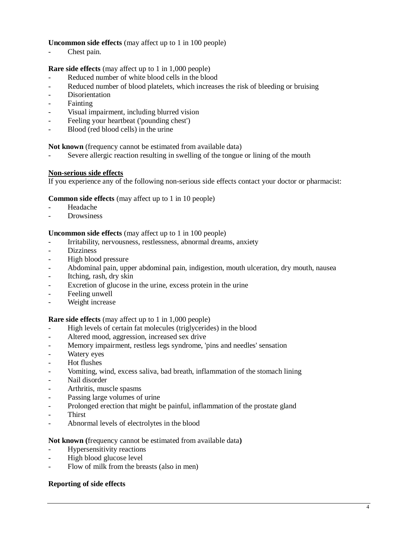## **Uncommon side effects** (may affect up to 1 in 100 people)

- Chest pain.

**Rare side effects** (may affect up to 1 in 1,000 people)

- Reduced number of white blood cells in the blood
- Reduced number of blood platelets, which increases the risk of bleeding or bruising
- **Disorientation**
- Fainting
- Visual impairment, including blurred vision
- Feeling your heartbeat ('pounding chest')
- Blood (red blood cells) in the urine

**Not known** (frequency cannot be estimated from available data)

Severe allergic reaction resulting in swelling of the tongue or lining of the mouth

#### **Non-serious side effects**

If you experience any of the following non-serious side effects contact your doctor or pharmacist:

#### **Common side effects** (may affect up to 1 in 10 people)

- Headache
- **Drowsiness**

#### **Uncommon side effects** (may affect up to 1 in 100 people)

- Irritability, nervousness, restlessness, abnormal dreams, anxiety
- **Dizziness**
- High blood pressure
- Abdominal pain, upper abdominal pain, indigestion, mouth ulceration, dry mouth, nausea
- Itching, rash, dry skin
- Excretion of glucose in the urine, excess protein in the urine
- Feeling unwell
- Weight increase

#### **Rare side effects** (may affect up to 1 in 1,000 people)

- High levels of certain fat molecules (triglycerides) in the blood
- Altered mood, aggression, increased sex drive
- Memory impairment, restless legs syndrome, 'pins and needles' sensation
- Watery eyes
- Hot flushes
- Vomiting, wind, excess saliva, bad breath, inflammation of the stomach lining
- Nail disorder
- Arthritis, muscle spasms
- Passing large volumes of urine
- Prolonged erection that might be painful, inflammation of the prostate gland
- **Thirst**
- Abnormal levels of electrolytes in the blood

#### **Not known (**frequency cannot be estimated from available data**)**

- Hypersensitivity reactions
- High blood glucose level
- Flow of milk from the breasts (also in men)

#### **Reporting of side effects**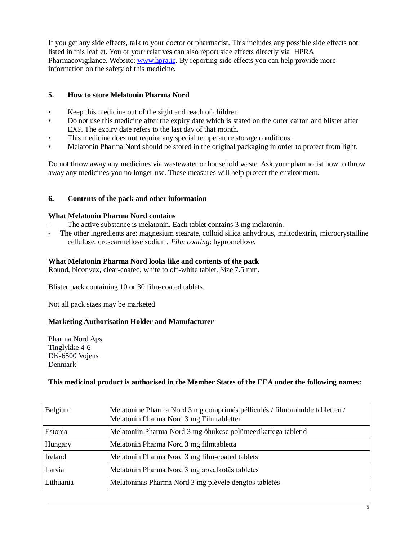If you get any side effects, talk to your doctor or pharmacist. This includes any possible side effects not listed in this leaflet. You or your relatives can also report side effects directly via HPRA Pharmacovigilance. Website: [www.hpra.ie.](http://www.hpra.ie/) By reporting side effects you can help provide more information on the safety of this medicine.

# **5. How to store Melatonin Pharma Nord**

- Keep this medicine out of the sight and reach of children.
- Do not use this medicine after the expiry date which is stated on the outer carton and blister after EXP. The expiry date refers to the last day of that month.
- This medicine does not require any special temperature storage conditions.
- Melatonin Pharma Nord should be stored in the original packaging in order to protect from light.

Do not throw away any medicines via wastewater or household waste. Ask your pharmacist how to throw away any medicines you no longer use. These measures will help protect the environment.

# **6. Contents of the pack and other information**

# **What Melatonin Pharma Nord contains**

- The active substance is melatonin. Each tablet contains 3 mg melatonin.
- The other ingredients are: magnesium stearate, colloid silica anhydrous, maltodextrin, microcrystalline cellulose, croscarmellose sodium. *Film coating*: hypromellose.

# **What Melatonin Pharma Nord looks like and contents of the pack**

Round, biconvex, clear-coated, white to off-white tablet. Size 7.5 mm.

Blister pack containing 10 or 30 film-coated tablets.

Not all pack sizes may be marketed

# **Marketing Authorisation Holder and Manufacturer**

Pharma Nord Aps Tinglykke 4-6 DK-6500 Vojens Denmark

# **This medicinal product is authorised in the Member States of the EEA under the following names:**

| Belgium   | Melatonine Pharma Nord 3 mg comprimés pélliculés / filmomhulde tabletten /<br>Melatonin Pharma Nord 3 mg Filmtabletten |
|-----------|------------------------------------------------------------------------------------------------------------------------|
| Estonia   | Melatoniin Pharma Nord 3 mg õhukese polümeerikattega tabletid                                                          |
| Hungary   | Melatonin Pharma Nord 3 mg filmtabletta                                                                                |
| Ireland   | Melatonin Pharma Nord 3 mg film-coated tablets                                                                         |
| Latvia    | Melatonin Pharma Nord 3 mg apvalkotās tabletes                                                                         |
| Lithuania | Melatoninas Pharma Nord 3 mg plėvele dengtos tabletės                                                                  |